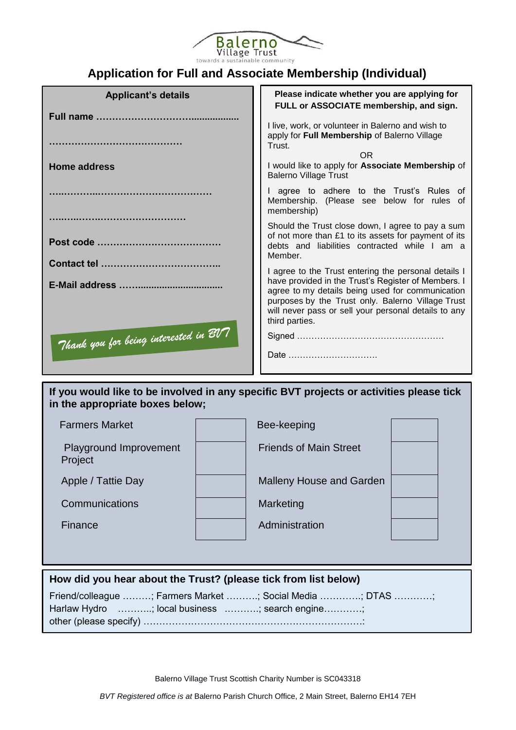

# **Application for Full and Associate Membership (Individual)**

| <b>Applicant's details</b>            | Please indicate whether you are applying for<br>FULL or ASSOCIATE membership, and sign.                                                                                                                                                                                                        |  |  |
|---------------------------------------|------------------------------------------------------------------------------------------------------------------------------------------------------------------------------------------------------------------------------------------------------------------------------------------------|--|--|
|                                       | I live, work, or volunteer in Balerno and wish to<br>apply for Full Membership of Balerno Village                                                                                                                                                                                              |  |  |
|                                       | Trust.<br>OR.                                                                                                                                                                                                                                                                                  |  |  |
| <b>Home address</b>                   | I would like to apply for Associate Membership of<br><b>Balerno Village Trust</b>                                                                                                                                                                                                              |  |  |
|                                       | I agree to adhere to the Trust's Rules of<br>Membership. (Please see below for rules of<br>membership)                                                                                                                                                                                         |  |  |
|                                       | Should the Trust close down, I agree to pay a sum<br>of not more than £1 to its assets for payment of its<br>debts and liabilities contracted while I am a<br>Member.                                                                                                                          |  |  |
|                                       | I agree to the Trust entering the personal details I<br>have provided in the Trust's Register of Members. I<br>agree to my details being used for communication<br>purposes by the Trust only. Balerno Village Trust<br>will never pass or sell your personal details to any<br>third parties. |  |  |
| Thank you for being interested in BV7 | Date                                                                                                                                                                                                                                                                                           |  |  |

# **If you would like to be involved in any specific BVT projects or activities please tick in the appropriate boxes below;**

| <b>Farmers Market</b>                    | Bee-keeping                     |  |
|------------------------------------------|---------------------------------|--|
| <b>Playground Improvement</b><br>Project | <b>Friends of Main Street</b>   |  |
| Apple / Tattie Day                       | <b>Malleny House and Garden</b> |  |
| Communications                           | Marketing                       |  |
| Finance                                  | Administration                  |  |
|                                          |                                 |  |

# **How did you hear about the Trust? (please tick from list below)**

Friend/colleague ………; Farmers Market ……….; Social Media ………….; DTAS …………; Harlaw Hydro ...........; local business ...........; search engine............; other (please specify) ……………………………………………………………:

Balerno Village Trust Scottish Charity Number is SC043318